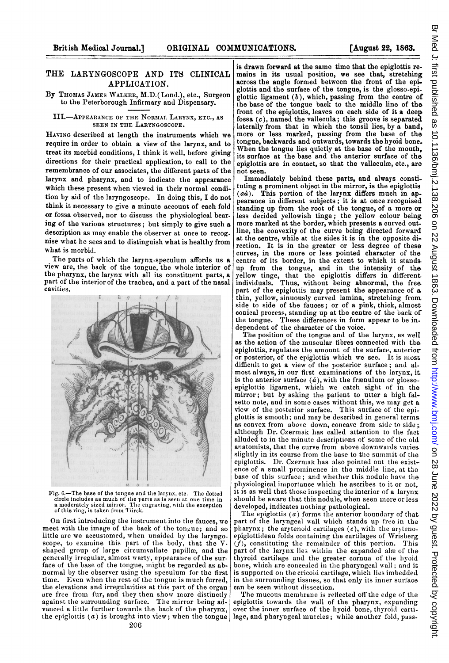## THE LARYNGOSCOPE AND ITS CLINICAL APPLICATION.

## By THOMAS JAMES WALKER, M.D.(Lond.), etc., Surgeon to the Peterborough Infirmary and Dispensary.

## III.-APPEARANCE OF THE NORMAL LARYNX, ETC., AS SEEN IN THE LARYNGOSCOPE.

HAYING described at length the instruments which we require in order to obtain a view of the larynx, and to treat its morbid conditions, I think it well, before giving directions for their practical application, to call to the remembrance of our associates, the different parts of the larynx and pharynx, and to indicate the appearance which these present when viewed in their normal condition by aid of the laryngoscope. In doing this, I do not think it necessary to give a minute account of each fold or fossa observed, nor to discuss the physiological bear. ing of the various structures; but simply to give such a description as may enable the observer at once to recognise what he sees and to distinguish what is healthy from what is morbid.

The parts of which the larynx-speculum affords us a view are, the back of the tongue, the whole interior of the pharynx, the larynx with all its constituent parts, a part of the interior of the trachea, and a part of the nasal cavities.



Fig. 6.-The base of the tongue and the larynx, etc. The dotted circle includes as much of the parts as is seen at one time in<br>a moderately sized mirror. The engraving, with the exception<br>of this ring, is taken from Türck.

On first introducing the instrument into the fauces, we meet with the image of the back of the tongue; and so little are we accustomed, when unaided by the laryngo-<br>scope, to examine this part of the body, that the V. scope, to examine this part of the body, that the shaped group of large circumvallate papillæ, and the generally irregular, almost warty, appearance of the surface of the base of the tongue, might be regarded as abnormal by the observer using the speculum for the first time. Even when the rest of the tongue is much furred, the elevations and irregularities at this part of the organ are free from fur, and they then show more distinctly against the surrounding surface. The mirror being advanced a little further towards the back of the pharynx,

is drawn forward at the same time that the epiglottis remains in its usual position, we see that, stretching across the angle formed between the front of the epi. glottis and the surface of the tongue, is the glosso-epiglottic ligament  $(b)$ , which, passing from the centre of the base of the tongue back to the middle line of the front of the epiglottis, leaves on each side of it a deep fossa (c), named the vallecula; this groove is separated laterally from that in which the tonsil lies, by a band, more or less marked, passing from the base of the tongue, backwards and outwards, towards the hyoid bone. When the tongue lies quietly at the base of the mouth, its surface at the base and the anterior surface of the epiglottis are in contact, so that the valleculæ, etc., are not seen.

Immediately bebind these parts, and always constituting a prominent object in the mirror, is the epiglottis  $(a\dot{a})$ . This portion of the larvnx differs much in ap-This portion of the larynx differs much in appearance in different subjects; it is at once recognised standing up from the root of the tongue, of a more or less decided yellowish tinge; the yellow colour being more marked at the border, which presents a curved outline, the convexity of the curve being directed forward at the centre, while at the sides it is in the opposite direction. It is in the greater or less degree of these curves, in the more or less pointed character of the centre of its border, in the extent to which it stands. up from the tongue, and in the intensity of the yellow tinge, that the epiglottis differs in different.<br>individuals. Thus, without being abnormal, the free part of the epiglottis may present the appearance of a thin, yellow, sinuously curved lamina, stretching fron side to side of the fauces; or of a pink, thick, almost conical process, standing up at the centre of the back of the tongue. These differences in form appear to be independent of the character of the voice.

The position of the tongue and of the larynx, as well as the action of the muscular fibres connected with the epiglottis, regulates the amount of the surface, anterior or posterior, of the epiglottis which we see. It is most difficult to get a view of the posterior surface; and almost always, in our first examinations of the larynx, it. is the anterior surface  $(d)$ , with the frænulum or glossoepiglottic ligament, which we catch sight of in the mirror; but by asking the patient to utter a high falsetto note, and in some cases without this, we may get a view of the posterior surface. This surface of the epi. glottis is smooth; and may be described in general terms as convex from above down, concave from side to side: although Dr. Czermak lhas called attention to the fact alluded to in the minute descriptions of some of the old anatomists, that the curve from above downwards varies slightly in its course from the base to the summit of the epiglottis. Dr. Czermak has also pointed out the existence of a small promninence in the middle line, at the base of this surface; and whether this nodule have the physiological importance which he ascribes to it or not, it is as well that those inspecting the interior of a larynx should be aware that this nodule, when seen more or less developed, indicates nothing pathological.

The epiglottis  $(a)$  forms the anterior boundary of that part of the laryngeal wall wlhich stands up free in the pharynx; the arytenoid cartilages  $(e)$ , with the arytenoepiglottidean folds containing the cartilages of Wrisberg  $(f)$ , constituting the remainder of this portion. This part of the larynx lies within the expanded alæ of the thyroid cartilage and the greater cornua of the hyoid bone, which are concealed in the pharyngeal wall; and it is supported on the cricoid cartilage, which lies imbedded in the surrounding tissues, so that only its inner surface can be seen without dissection.

the epiglottis (a) is brought into view; when the tongue | lage, and pharyngeal muscles; while another fold, pass-The mucous membrane is reflected off the edge of the epiglottis towards the wall of the pharynx, expanding over the inner surface of the hyoid bone, thyroid carti-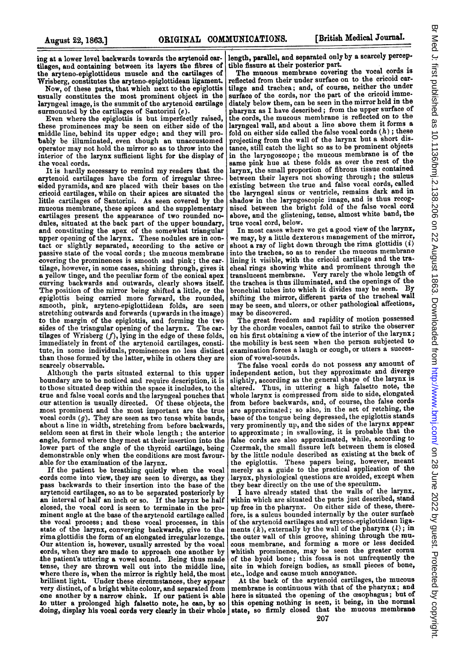ing at a lower level backwards towards the arytenoid cartilages, and containing between its layers the fibres of the aryteno-epiglottideus muscle and the cartilages of Wrisberg, constitutes the aryteno-epiglottidean ligament.

Now, of these parts, that which next to the epiglottis usually constitutes the most prominent object in the laryngeal image, is the summit of the arytenoid cartilage surmounted by the cartilages of Santorini (e).

Even where the epiglottis is but imperfectly raised, these prominences may be seen on either side of the middle line, behind its upper edge; and they will probably be illuminated, even though an unaccustomed operator may not hold the mirror so as to throw inito the interior of the larynx sufficient light for the display of the vocal cords.

It is hardly necessary to remind my readers that the arytenoid cartilages have the form of irregular threesided pyramids, and are placed with their bases on the cricoid cartilages, while on their apices are situated the little cartilages of Santorini. As seen covered by the mucous membrane, these apices and the supplementary cartilages present the appearance of two rounded nodules, situated at the back part of the upper boundary, and constituting the apex of the somewhat triangular upper opening of the larynx. These nodules are in contact or slightly separated, according to the active or passive state of the vocal cords; the mucous membrane covering the prominences is smooth and pink; the cartilage, however, in some cases, shining through, gives it a yellow tinge, and the peculiar form of the conical apex curving backwards and outwards, clearly shows itself. The position of the mirror being shifted a little, or the epiglottis being carried more forward, the rounded, smooth, pink, aryteno-epiglottidean folds, are seen stretching outwards and forwards (upwards in the image) to the margin of the epiglottis, and forming the two sides of the triangular opening of the larynx. The cartilages of Wrisberg  $(f)$ , lying in the edge of these folds, immediately in front of the arytenoid cartilages, constitute, in some individuals, prominences no less distinct than those formed by the latter, while in others they are scarcely observable.

Although the parts situated external to this upper boundary are to be noticed and require description, it is to those situated deep within the space it includes, to the true and false vocal cords and the laryngeal pouches that our attention is usually directed. Of these objects, the most prominent and the most important are the true vocal cords  $(g)$ . They are seen as two tense white bands, about a line in width, stretching from before backwards, seldom seen at first in their whole length; the anterior angle, formed where they meet at their insertion into the lower part of the angle of the thyroid cartilage, being demonstrable only when the conditions are most favourable for the examination of the larynx.

If the patient be breatbing quietly when the vocal cords come into view, they are seen to diverge, as they pass backwards to their insertion into the base of the arytenoid cartilages, so as to be separated posteriorly by an interval of half an inch or so. If the larynx be half closed, the vocal cord is seen to terminate in the prominent angle at the base of the arytenoid cartilage called the vocal process; and these vocal processes, in this state of the larynx, converging backwards, give to the rima glottidis the form of an elongated irregularlozenge. Our attention is, however, usually arrested by the vocal cords, when they are made to approach one another by the patient's uttering a vowel sound. Being thus made tense, they are thrown well out into the middle line, where there is, when the mirror is rightly held, the most<br>brilliant light. Under these circumstances, they appear Under these circumstances, they appear very distinct, of a bright white colour, and separated from one another by a narrow chink. If our patient is able to utter a prolonged high falsetto note, he can, by so doing, display his vocal cords very clearly in their whole

lengtb, parallel, and separated only by a scarcely percepible fissure at their posterior part.

The mucous membrane covering the vocal cords is reflected from their under surface on to the cricoid cartilage and trachea; and, of course, neither the under surface of the cords, nor the part of the cricoid immediately below them, can be seen in the mirror held in the pharynx as <sup>I</sup> have described; from the upper surface of the cords, the mucous membrane is reflected on to the laryngeal wall, and about a line above them it forms a fold on either side called the false vocal cords  $(h)$ ; these projecting from the wall of the larynx but a short distance, still catch the light so as to be prominent objects in the laryngoscope; the mucous membrane is of the same pink hue at these folds as over the rest of the larynx, the small proportion of fibrous tissue contained between their layers not showing through; the sulcus existing between the true and false vocal cords, called the laryngeal sinus or ventricle, remains dark and in shadow in the laryngoscopic image, and is thus recognised between the bright fold of the false vocal cord above, and the glistening, tense, almost white band, the true vocal cord, below.

In most cases where we get <sup>a</sup> good view of the larynx, we may, by a little dexterous management of the mirror, shoot a ray of light down through the rima glottidis  $(i)$ into the trachea, so as to render the mucous membrane lining it visible, with the cricoid cartilage and the tracheal rings showing White and prominent through the translucent membrane. Very rarely the whole length of the trachea is thus illuminated, and the openings of the bronchial tubes into which it divides may be seen. By shifting the mirror, different parts of the tracheal wall may be seen, and ulcers, or other pathological affections, may be discovered.

The great freedom and rapidity of motion possessed by the chordæ vocales, cannot fail to strike the observer on his first obtaining <sup>a</sup> view of the interior of the larynx; the mobility is best seen when the person subjected to examination forces a laugh or cough, or utters a succession of vowel-sounds.

The false vocal cords do not possess any amount of independent action, but they approximate and diverge slightly, according as the general shape of the larynx is altered. Thus, in uttering <sup>a</sup> high falsetto note, the whole larynx is compressed from side to side, elongated from before backwards, and, of course, the false cords are approxinmated; so also, in the act of retching, the base of the tongue being depressed, the epiglottis stands very prominently up, and the sides of the larynx appear to approximate; in swallowing, it is probable that the false cords are also approximated, while, according to Czermak, the small fissure left between them is closed by the little nodule described as existing at the back of the epiglottis. These papers being, however, meant merely as <sup>a</sup> guide to the practical application of the larynx, physiological questions are avoided, except when they bear directly on the use of the speculum.

I have already stated that the walls of the larynx, within which are situated the parts just described, stand up free in the pharynx. On either side of these, therefore, is a sulcus bounded internally by the outer surface of the arytenoid cartilages and aryteno-epiglottidean ligaments  $(k)$ , externally by the wall of the pharynx  $(l)$ ; in the outer wall of this groove, shining through the mu-cous membrane, and forming a more or less decided whitish prominence, may be seen the greater cornu of the byoid bone; this fossa is not unfrequently the site in which foreign bodies, as small pieces of bone, etc., lodge and cause much annoyance.

At the back of the arytenoid cartilages, the mucous membrane is continuous with that of the pharynx; and here is situated the opening of the œsophagus; but of this opening nothing is seen, it being, in the normal state, so firmly closed that the mucous membrane 207